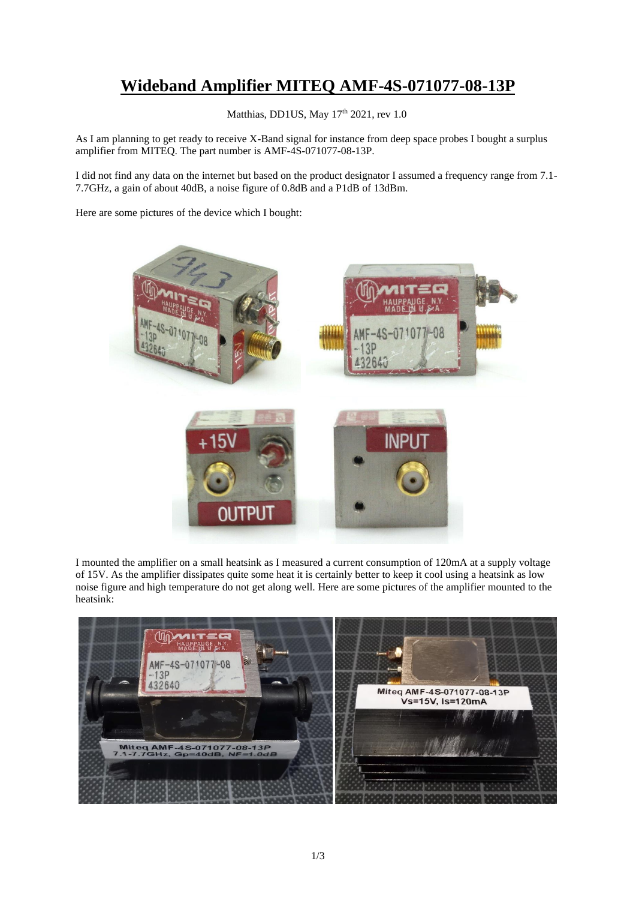## **Wideband Amplifier MITEQ AMF-4S-071077-08-13P**

Matthias, DD1US, May 17<sup>th</sup> 2021, rev 1.0

As I am planning to get ready to receive X-Band signal for instance from deep space probes I bought a surplus amplifier from MITEQ. The part number is AMF-4S-071077-08-13P.

I did not find any data on the internet but based on the product designator I assumed a frequency range from 7.1- 7.7GHz, a gain of about 40dB, a noise figure of 0.8dB and a P1dB of 13dBm.

Here are some pictures of the device which I bought:



I mounted the amplifier on a small heatsink as I measured a current consumption of 120mA at a supply voltage of 15V. As the amplifier dissipates quite some heat it is certainly better to keep it cool using a heatsink as low noise figure and high temperature do not get along well. Here are some pictures of the amplifier mounted to the heatsink:

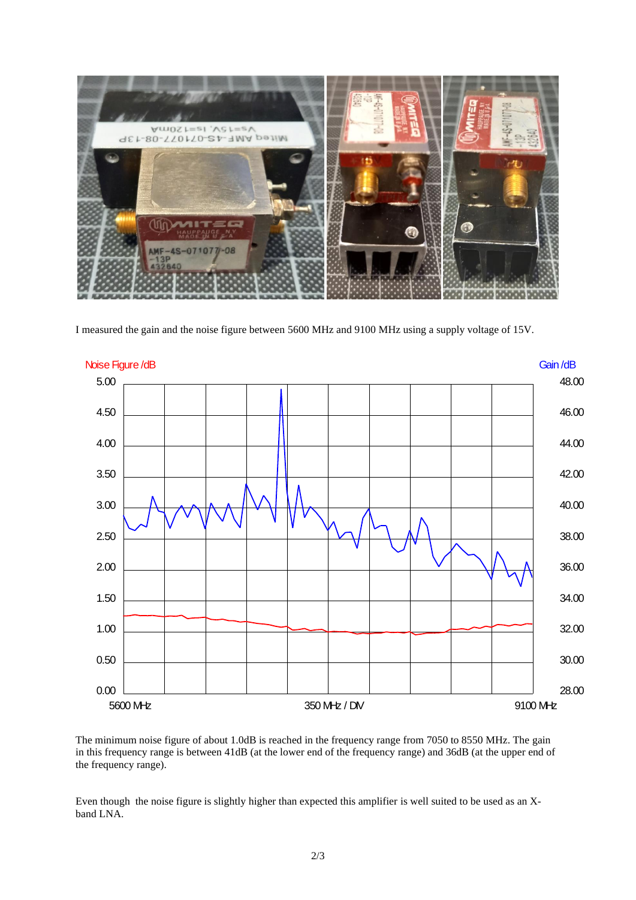

I measured the gain and the noise figure between 5600 MHz and 9100 MHz using a supply voltage of 15V.



The minimum noise figure of about 1.0dB is reached in the frequency range from 7050 to 8550 MHz. The gain in this frequency range is between 41dB (at the lower end of the frequency range) and 36dB (at the upper end of the frequency range).

Even though the noise figure is slightly higher than expected this amplifier is well suited to be used as an Xband LNA.